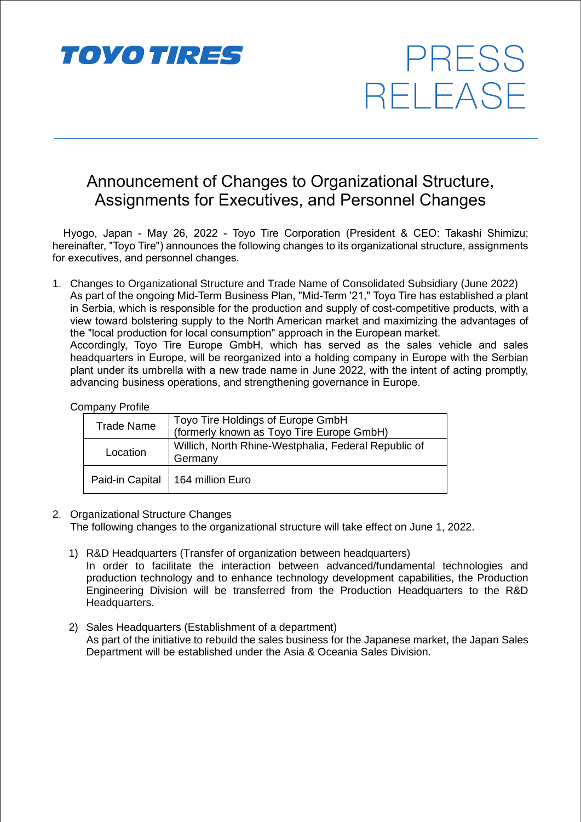

# Announcement of Changes to Organizational Structure, Assignments for Executives, and Personnel Changes

PRESS

RELEASE

Hyogo, Japan - May 26, 2022 - Toyo Tire Corporation (President & CEO: Takashi Shimizu; hereinafter, "Toyo Tire") announces the following changes to its organizational structure, assignments for executives, and personnel changes.

1. Changes to Organizational Structure and Trade Name of Consolidated Subsidiary (June 2022) As part of the ongoing Mid-Term Business Plan, "Mid-Term '21," Toyo Tire has established a plant in Serbia, which is responsible for the production and supply of cost-competitive products, with a view toward bolstering supply to the North American market and maximizing the advantages of the "local production for local consumption" approach in the European market. Accordingly, Toyo Tire Europe GmbH, which has served as the sales vehicle and sales headquarters in Europe, will be reorganized into a holding company in Europe with the Serbian plant under its umbrella with a new trade name in June 2022, with the intent of acting promptly, advancing business operations, and strengthening governance in Europe.

#### Company Profile

| <b>Trade Name</b> | Toyo Tire Holdings of Europe GmbH<br>(formerly known as Toyo Tire Europe GmbH) |
|-------------------|--------------------------------------------------------------------------------|
| Location          | Willich, North Rhine-Westphalia, Federal Republic of<br>Germany                |
|                   | Paid-in Capital   164 million Euro                                             |

- 2. Organizational Structure Changes The following changes to the organizational structure will take effect on June 1, 2022.
	- 1) R&D Headquarters (Transfer of organization between headquarters) In order to facilitate the interaction between advanced/fundamental technologies and production technology and to enhance technology development capabilities, the Production Engineering Division will be transferred from the Production Headquarters to the R&D Headquarters.
	- 2) Sales Headquarters (Establishment of a department) As part of the initiative to rebuild the sales business for the Japanese market, the Japan Sales Department will be established under the Asia & Oceania Sales Division.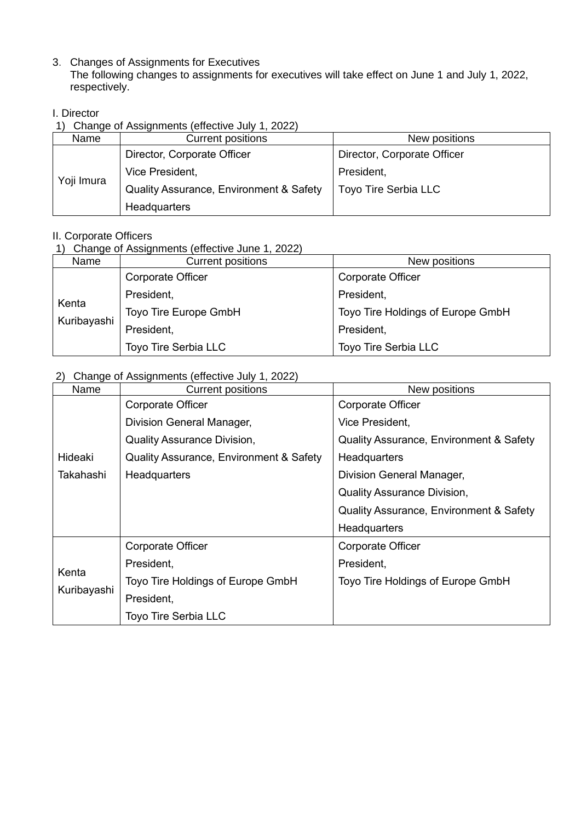3. Changes of Assignments for Executives

The following changes to assignments for executives will take effect on June 1 and July 1, 2022, respectively.

## I. Director

1) Change of Assignments (effective July 1, 2022)

| Name       | <b>Current positions</b>                | New positions               |
|------------|-----------------------------------------|-----------------------------|
| Yoji Imura | Director, Corporate Officer             | Director, Corporate Officer |
|            | Vice President,                         | President,                  |
|            | Quality Assurance, Environment & Safety | <b>Toyo Tire Serbia LLC</b> |
|            | <b>Headquarters</b>                     |                             |

### II. Corporate Officers

## 1) Change of Assignments (effective June 1, 2022)

| Name                 | <b>Current positions</b> | New positions                     |
|----------------------|--------------------------|-----------------------------------|
| Kenta<br>Kuribayashi | Corporate Officer        | <b>Corporate Officer</b>          |
|                      | President,               | President,                        |
|                      | Toyo Tire Europe GmbH    | Toyo Tire Holdings of Europe GmbH |
|                      | President,               | President,                        |
|                      | Toyo Tire Serbia LLC     | <b>Toyo Tire Serbia LLC</b>       |

## 2) Change of Assignments (effective July 1, 2022)

| Name                 | <b>Current positions</b>                           | New positions                                      |
|----------------------|----------------------------------------------------|----------------------------------------------------|
| Hideaki              | Corporate Officer                                  | Corporate Officer                                  |
|                      | Division General Manager,                          | Vice President,                                    |
|                      | <b>Quality Assurance Division,</b>                 | <b>Quality Assurance, Environment &amp; Safety</b> |
|                      | <b>Quality Assurance, Environment &amp; Safety</b> | Headquarters                                       |
| Takahashi            | Headquarters                                       | Division General Manager,                          |
|                      |                                                    | <b>Quality Assurance Division,</b>                 |
|                      |                                                    | Quality Assurance, Environment & Safety            |
|                      |                                                    | Headquarters                                       |
| Kenta<br>Kuribayashi | Corporate Officer                                  | Corporate Officer                                  |
|                      | President,                                         | President,                                         |
|                      | Toyo Tire Holdings of Europe GmbH                  | Toyo Tire Holdings of Europe GmbH                  |
|                      | President,                                         |                                                    |
|                      | <b>Toyo Tire Serbia LLC</b>                        |                                                    |